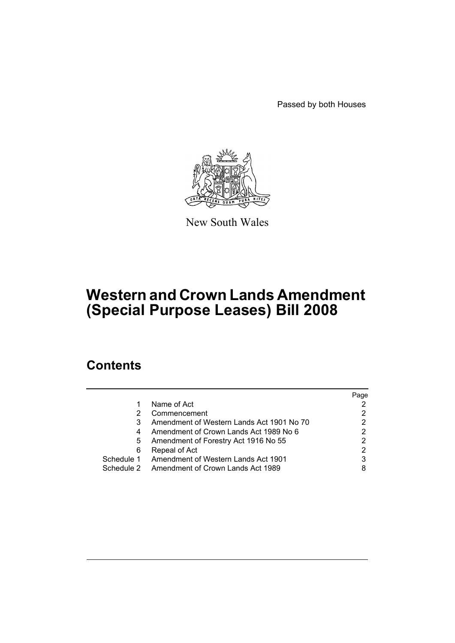Passed by both Houses



New South Wales

# **Western and Crown Lands Amendment (Special Purpose Leases) Bill 2008**

# **Contents**

|            |                                                | Page |
|------------|------------------------------------------------|------|
| 1          | Name of Act                                    |      |
| 2          | Commencement                                   | 2    |
| 3          | Amendment of Western Lands Act 1901 No 70      |      |
| 4          | Amendment of Crown Lands Act 1989 No 6         |      |
| 5          | Amendment of Forestry Act 1916 No 55           |      |
| 6          | Repeal of Act                                  | 2    |
|            | Schedule 1 Amendment of Western Lands Act 1901 | 3    |
| Schedule 2 | Amendment of Crown Lands Act 1989              |      |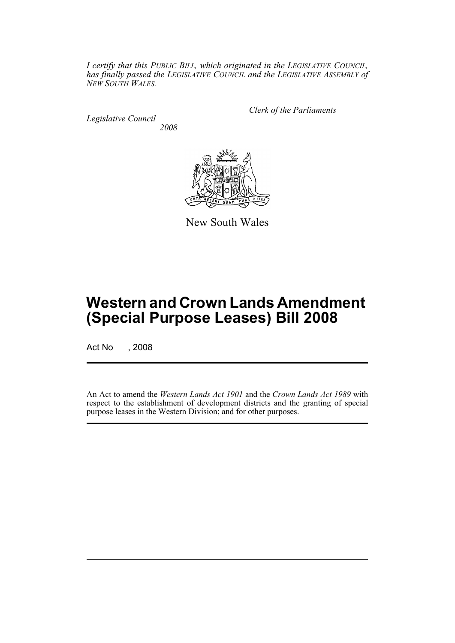*I certify that this PUBLIC BILL, which originated in the LEGISLATIVE COUNCIL, has finally passed the LEGISLATIVE COUNCIL and the LEGISLATIVE ASSEMBLY of NEW SOUTH WALES.*

*Legislative Council 2008* *Clerk of the Parliaments*



New South Wales

# **Western and Crown Lands Amendment (Special Purpose Leases) Bill 2008**

Act No , 2008

An Act to amend the *Western Lands Act 1901* and the *Crown Lands Act 1989* with respect to the establishment of development districts and the granting of special purpose leases in the Western Division; and for other purposes.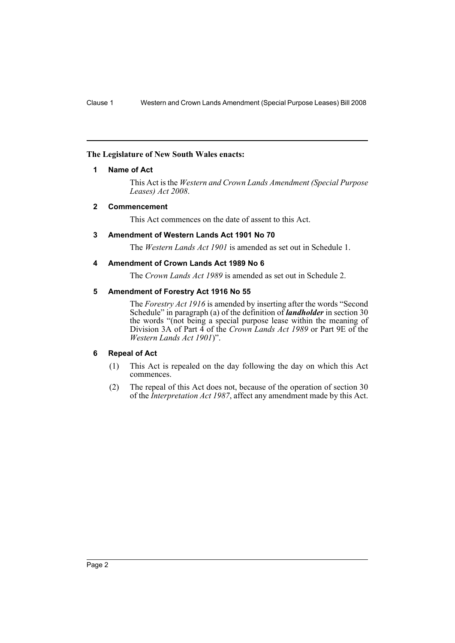# <span id="page-2-0"></span>**The Legislature of New South Wales enacts:**

# **1 Name of Act**

This Act is the *Western and Crown Lands Amendment (Special Purpose Leases) Act 2008*.

# <span id="page-2-1"></span>**2 Commencement**

This Act commences on the date of assent to this Act.

# <span id="page-2-2"></span>**3 Amendment of Western Lands Act 1901 No 70**

The *Western Lands Act 1901* is amended as set out in Schedule 1.

# <span id="page-2-3"></span>**4 Amendment of Crown Lands Act 1989 No 6**

The *Crown Lands Act 1989* is amended as set out in Schedule 2.

# <span id="page-2-4"></span>**5 Amendment of Forestry Act 1916 No 55**

The *Forestry Act 1916* is amended by inserting after the words "Second Schedule" in paragraph (a) of the definition of *landholder* in section 30 the words "(not being a special purpose lease within the meaning of Division 3A of Part 4 of the *Crown Lands Act 1989* or Part 9E of the *Western Lands Act 1901*)".

# <span id="page-2-5"></span>**6 Repeal of Act**

- (1) This Act is repealed on the day following the day on which this Act commences.
- (2) The repeal of this Act does not, because of the operation of section 30 of the *Interpretation Act 1987*, affect any amendment made by this Act.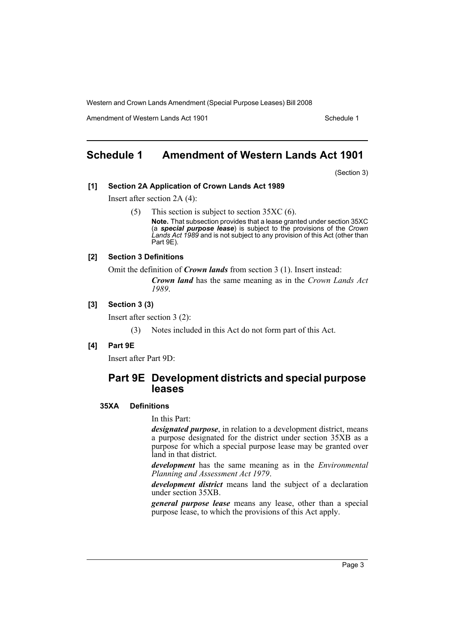Amendment of Western Lands Act 1901 Schedule 1

# <span id="page-3-0"></span>**Schedule 1 Amendment of Western Lands Act 1901**

(Section 3)

#### **[1] Section 2A Application of Crown Lands Act 1989**

Insert after section 2A (4):

(5) This section is subject to section 35XC (6). **Note.** That subsection provides that a lease granted under section 35XC (a *special purpose lease*) is subject to the provisions of the *Crown Lands Act 1989* and is not subject to any provision of this Act (other than Part 9E).

# **[2] Section 3 Definitions**

Omit the definition of *Crown lands* from section 3 (1). Insert instead:

*Crown land* has the same meaning as in the *Crown Lands Act 1989*.

# **[3] Section 3 (3)**

Insert after section 3 (2):

(3) Notes included in this Act do not form part of this Act.

#### **[4] Part 9E**

Insert after Part 9D:

# **Part 9E Development districts and special purpose leases**

# **35XA Definitions**

In this Part:

*designated purpose*, in relation to a development district, means a purpose designated for the district under section 35XB as a purpose for which a special purpose lease may be granted over land in that district.

*development* has the same meaning as in the *Environmental Planning and Assessment Act 1979*.

*development district* means land the subject of a declaration under section 35XB.

*general purpose lease* means any lease, other than a special purpose lease, to which the provisions of this Act apply.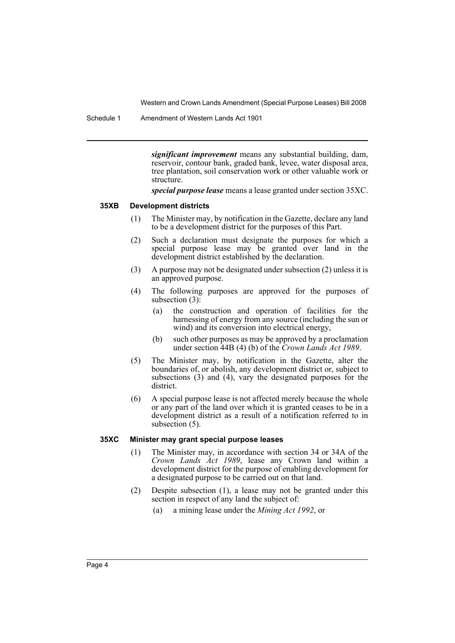Schedule 1 Amendment of Western Lands Act 1901

*significant improvement* means any substantial building, dam, reservoir, contour bank, graded bank, levee, water disposal area, tree plantation, soil conservation work or other valuable work or structure.

*special purpose lease* means a lease granted under section 35XC.

# **35XB Development districts**

- (1) The Minister may, by notification in the Gazette, declare any land to be a development district for the purposes of this Part.
- (2) Such a declaration must designate the purposes for which a special purpose lease may be granted over land in the development district established by the declaration.
- (3) A purpose may not be designated under subsection (2) unless it is an approved purpose.
- (4) The following purposes are approved for the purposes of subsection (3):
	- (a) the construction and operation of facilities for the harnessing of energy from any source (including the sun or wind) and its conversion into electrical energy,
	- (b) such other purposes as may be approved by a proclamation under section 44B (4) (b) of the *Crown Lands Act 1989*.
- (5) The Minister may, by notification in the Gazette, alter the boundaries of, or abolish, any development district or, subject to subsections (3) and (4), vary the designated purposes for the district.
- (6) A special purpose lease is not affected merely because the whole or any part of the land over which it is granted ceases to be in a development district as a result of a notification referred to in subsection  $(5)$ .

#### **35XC Minister may grant special purpose leases**

- (1) The Minister may, in accordance with section 34 or 34A of the *Crown Lands Act 1989*, lease any Crown land within a development district for the purpose of enabling development for a designated purpose to be carried out on that land.
- (2) Despite subsection (1), a lease may not be granted under this section in respect of any land the subject of:
	- (a) a mining lease under the *Mining Act 1992*, or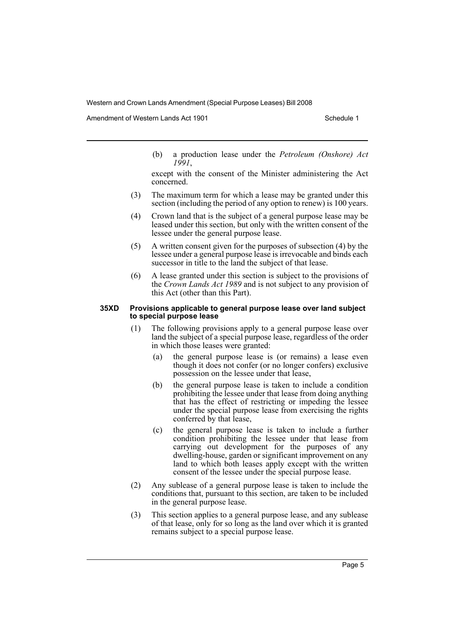Amendment of Western Lands Act 1901 Schedule 1

(b) a production lease under the *Petroleum (Onshore) Act 1991*,

except with the consent of the Minister administering the Act concerned.

- (3) The maximum term for which a lease may be granted under this section (including the period of any option to renew) is 100 years.
- (4) Crown land that is the subject of a general purpose lease may be leased under this section, but only with the written consent of the lessee under the general purpose lease.
- (5) A written consent given for the purposes of subsection (4) by the lessee under a general purpose lease is irrevocable and binds each successor in title to the land the subject of that lease.
- (6) A lease granted under this section is subject to the provisions of the *Crown Lands Act 1989* and is not subject to any provision of this Act (other than this Part).

#### **35XD Provisions applicable to general purpose lease over land subject to special purpose lease**

- (1) The following provisions apply to a general purpose lease over land the subject of a special purpose lease, regardless of the order in which those leases were granted:
	- (a) the general purpose lease is (or remains) a lease even though it does not confer (or no longer confers) exclusive possession on the lessee under that lease,
	- (b) the general purpose lease is taken to include a condition prohibiting the lessee under that lease from doing anything that has the effect of restricting or impeding the lessee under the special purpose lease from exercising the rights conferred by that lease,
	- (c) the general purpose lease is taken to include a further condition prohibiting the lessee under that lease from carrying out development for the purposes of any dwelling-house, garden or significant improvement on any land to which both leases apply except with the written consent of the lessee under the special purpose lease.
- (2) Any sublease of a general purpose lease is taken to include the conditions that, pursuant to this section, are taken to be included in the general purpose lease.
- (3) This section applies to a general purpose lease, and any sublease of that lease, only for so long as the land over which it is granted remains subject to a special purpose lease.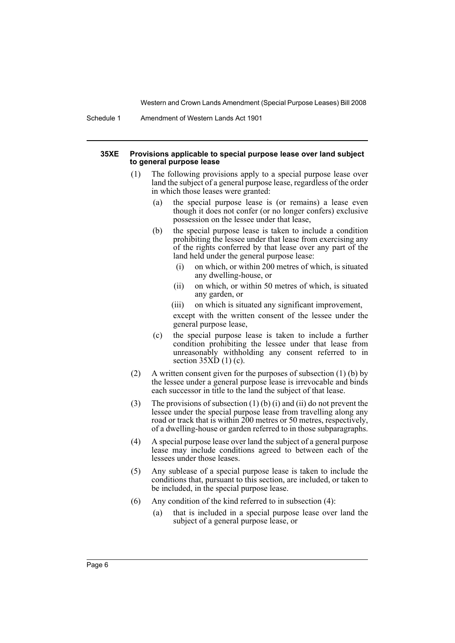Schedule 1 Amendment of Western Lands Act 1901

#### **35XE Provisions applicable to special purpose lease over land subject to general purpose lease**

- (1) The following provisions apply to a special purpose lease over land the subject of a general purpose lease, regardless of the order in which those leases were granted:
	- (a) the special purpose lease is (or remains) a lease even though it does not confer (or no longer confers) exclusive possession on the lessee under that lease,
	- (b) the special purpose lease is taken to include a condition prohibiting the lessee under that lease from exercising any of the rights conferred by that lease over any part of the land held under the general purpose lease:
		- (i) on which, or within 200 metres of which, is situated any dwelling-house, or
		- (ii) on which, or within 50 metres of which, is situated any garden, or
		- (iii) on which is situated any significant improvement,

except with the written consent of the lessee under the general purpose lease,

- (c) the special purpose lease is taken to include a further condition prohibiting the lessee under that lease from unreasonably withholding any consent referred to in section  $35XD(1)(c)$ .
- (2) A written consent given for the purposes of subsection (1) (b) by the lessee under a general purpose lease is irrevocable and binds each successor in title to the land the subject of that lease.
- (3) The provisions of subsection (1) (b) (i) and (ii) do not prevent the lessee under the special purpose lease from travelling along any road or track that is within 200 metres or 50 metres, respectively, of a dwelling-house or garden referred to in those subparagraphs.
- (4) A special purpose lease over land the subject of a general purpose lease may include conditions agreed to between each of the lessees under those leases.
- (5) Any sublease of a special purpose lease is taken to include the conditions that, pursuant to this section, are included, or taken to be included, in the special purpose lease.
- (6) Any condition of the kind referred to in subsection (4):
	- (a) that is included in a special purpose lease over land the subject of a general purpose lease, or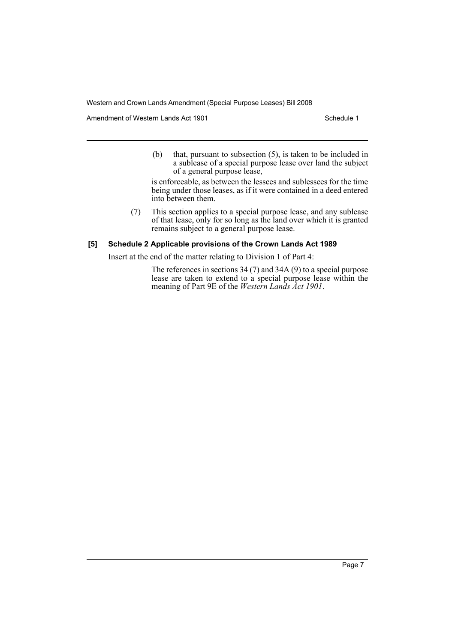Amendment of Western Lands Act 1901 Schedule 1

(b) that, pursuant to subsection (5), is taken to be included in a sublease of a special purpose lease over land the subject of a general purpose lease,

is enforceable, as between the lessees and sublessees for the time being under those leases, as if it were contained in a deed entered into between them.

(7) This section applies to a special purpose lease, and any sublease of that lease, only for so long as the land over which it is granted remains subject to a general purpose lease.

# **[5] Schedule 2 Applicable provisions of the Crown Lands Act 1989**

Insert at the end of the matter relating to Division 1 of Part 4:

The references in sections 34 (7) and 34A (9) to a special purpose lease are taken to extend to a special purpose lease within the meaning of Part 9E of the *Western Lands Act 1901*.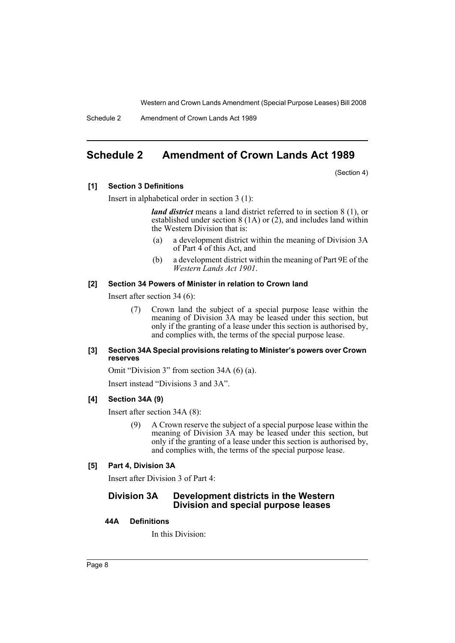Schedule 2 Amendment of Crown Lands Act 1989

# <span id="page-8-0"></span>**Schedule 2 Amendment of Crown Lands Act 1989**

(Section 4)

# **[1] Section 3 Definitions**

Insert in alphabetical order in section 3 (1):

*land district* means a land district referred to in section 8 (1), or established under section 8 (1A) or (2), and includes land within the Western Division that is:

- (a) a development district within the meaning of Division 3A of Part 4 of this Act, and
- (b) a development district within the meaning of Part 9E of the *Western Lands Act 1901*.

# **[2] Section 34 Powers of Minister in relation to Crown land**

Insert after section 34 (6):

(7) Crown land the subject of a special purpose lease within the meaning of Division 3A may be leased under this section, but only if the granting of a lease under this section is authorised by, and complies with, the terms of the special purpose lease.

#### **[3] Section 34A Special provisions relating to Minister's powers over Crown reserves**

Omit "Division 3" from section 34A (6) (a).

Insert instead "Divisions 3 and 3A".

#### **[4] Section 34A (9)**

Insert after section 34A (8):

(9) A Crown reserve the subject of a special purpose lease within the meaning of Division 3A may be leased under this section, but only if the granting of a lease under this section is authorised by, and complies with, the terms of the special purpose lease.

#### **[5] Part 4, Division 3A**

Insert after Division 3 of Part 4:

# **Division 3A Development districts in the Western Division and special purpose leases**

#### **44A Definitions**

In this Division: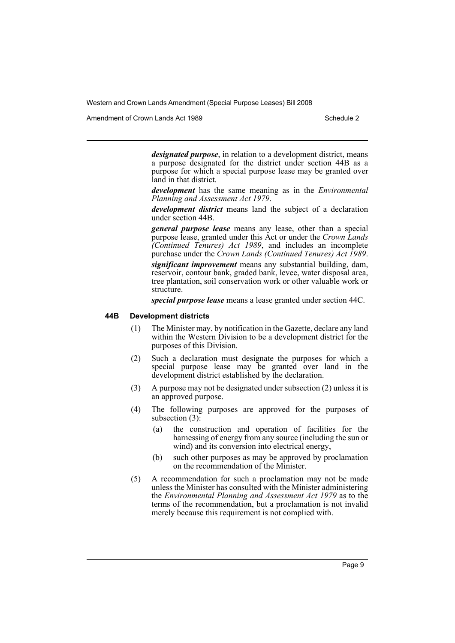Amendment of Crown Lands Act 1989 Schedule 2

*designated purpose*, in relation to a development district, means a purpose designated for the district under section 44B as a purpose for which a special purpose lease may be granted over land in that district.

*development* has the same meaning as in the *Environmental Planning and Assessment Act 1979*.

*development district* means land the subject of a declaration under section 44B.

*general purpose lease* means any lease, other than a special purpose lease, granted under this Act or under the *Crown Lands (Continued Tenures) Act 1989*, and includes an incomplete purchase under the *Crown Lands (Continued Tenures) Act 1989*.

*significant improvement* means any substantial building, dam, reservoir, contour bank, graded bank, levee, water disposal area, tree plantation, soil conservation work or other valuable work or structure.

*special purpose lease* means a lease granted under section 44C.

#### **44B Development districts**

- (1) The Minister may, by notification in the Gazette, declare any land within the Western Division to be a development district for the purposes of this Division.
- (2) Such a declaration must designate the purposes for which a special purpose lease may be granted over land in the development district established by the declaration.
- (3) A purpose may not be designated under subsection (2) unless it is an approved purpose.
- (4) The following purposes are approved for the purposes of subsection (3):
	- (a) the construction and operation of facilities for the harnessing of energy from any source (including the sun or wind) and its conversion into electrical energy,
	- (b) such other purposes as may be approved by proclamation on the recommendation of the Minister.
- (5) A recommendation for such a proclamation may not be made unless the Minister has consulted with the Minister administering the *Environmental Planning and Assessment Act 1979* as to the terms of the recommendation, but a proclamation is not invalid merely because this requirement is not complied with.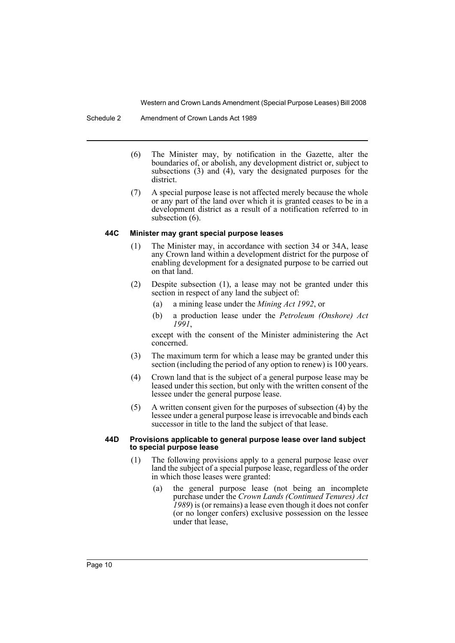- (6) The Minister may, by notification in the Gazette, alter the boundaries of, or abolish, any development district or, subject to subsections (3) and (4), vary the designated purposes for the district.
- (7) A special purpose lease is not affected merely because the whole or any part of the land over which it is granted ceases to be in a development district as a result of a notification referred to in subsection  $(6)$ .

# **44C Minister may grant special purpose leases**

- (1) The Minister may, in accordance with section 34 or 34A, lease any Crown land within a development district for the purpose of enabling development for a designated purpose to be carried out on that land.
- (2) Despite subsection (1), a lease may not be granted under this section in respect of any land the subject of:
	- (a) a mining lease under the *Mining Act 1992*, or
	- (b) a production lease under the *Petroleum (Onshore) Act 1991*,

except with the consent of the Minister administering the Act concerned.

- (3) The maximum term for which a lease may be granted under this section (including the period of any option to renew) is 100 years.
- (4) Crown land that is the subject of a general purpose lease may be leased under this section, but only with the written consent of the lessee under the general purpose lease.
- (5) A written consent given for the purposes of subsection (4) by the lessee under a general purpose lease is irrevocable and binds each successor in title to the land the subject of that lease.

#### **44D Provisions applicable to general purpose lease over land subject to special purpose lease**

- (1) The following provisions apply to a general purpose lease over land the subject of a special purpose lease, regardless of the order in which those leases were granted:
	- (a) the general purpose lease (not being an incomplete purchase under the *Crown Lands (Continued Tenures) Act 1989*) is (or remains) a lease even though it does not confer (or no longer confers) exclusive possession on the lessee under that lease,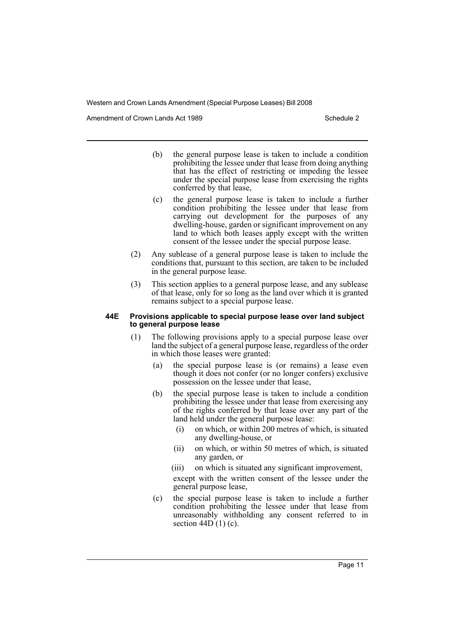Amendment of Crown Lands Act 1989 Schedule 2

- (b) the general purpose lease is taken to include a condition prohibiting the lessee under that lease from doing anything that has the effect of restricting or impeding the lessee under the special purpose lease from exercising the rights conferred by that lease,
- (c) the general purpose lease is taken to include a further condition prohibiting the lessee under that lease from carrying out development for the purposes of any dwelling-house, garden or significant improvement on any land to which both leases apply except with the written consent of the lessee under the special purpose lease.
- (2) Any sublease of a general purpose lease is taken to include the conditions that, pursuant to this section, are taken to be included in the general purpose lease.
- (3) This section applies to a general purpose lease, and any sublease of that lease, only for so long as the land over which it is granted remains subject to a special purpose lease.

#### **44E Provisions applicable to special purpose lease over land subject to general purpose lease**

- (1) The following provisions apply to a special purpose lease over land the subject of a general purpose lease, regardless of the order in which those leases were granted:
	- (a) the special purpose lease is (or remains) a lease even though it does not confer (or no longer confers) exclusive possession on the lessee under that lease,
	- (b) the special purpose lease is taken to include a condition prohibiting the lessee under that lease from exercising any of the rights conferred by that lease over any part of the land held under the general purpose lease:
		- (i) on which, or within 200 metres of which, is situated any dwelling-house, or
		- (ii) on which, or within 50 metres of which, is situated any garden, or
		- (iii) on which is situated any significant improvement,

except with the written consent of the lessee under the general purpose lease,

(c) the special purpose lease is taken to include a further condition prohibiting the lessee under that lease from unreasonably withholding any consent referred to in section  $44D(1)(c)$ .